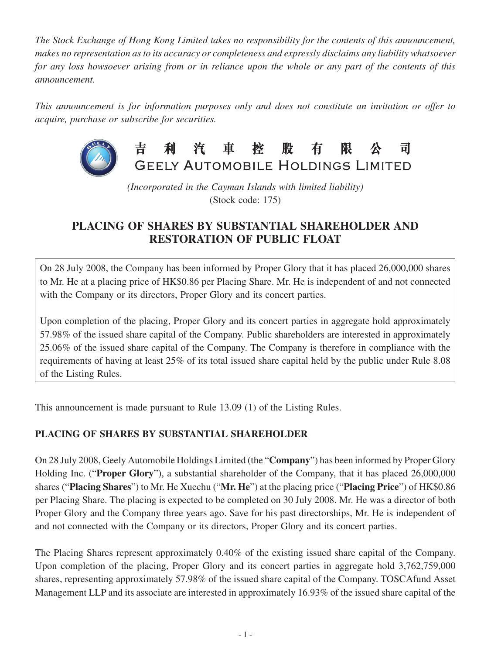*The Stock Exchange of Hong Kong Limited takes no responsibility for the contents of this announcement, makes no representation as to its accuracy or completeness and expressly disclaims any liability whatsoever for any loss howsoever arising from or in reliance upon the whole or any part of the contents of this announcement.*

*This announcement is for information purposes only and does not constitute an invitation or offer to acquire, purchase or subscribe for securities.*



吉 利 汽 車 控 股 有 限 司 GEELY AUTOMOBILE HOLDINGS LIMITED

*(Incorporated in the Cayman Islands with limited liability)* (Stock code: 175)

## **PLACING OF SHARES BY SUBSTANTIAL SHAREHOLDER AND RESTORATION OF PUBLIC FLOAT**

On 28 July 2008, the Company has been informed by Proper Glory that it has placed 26,000,000 shares to Mr. He at a placing price of HK\$0.86 per Placing Share. Mr. He is independent of and not connected with the Company or its directors, Proper Glory and its concert parties.

Upon completion of the placing, Proper Glory and its concert parties in aggregate hold approximately 57.98% of the issued share capital of the Company. Public shareholders are interested in approximately 25.06% of the issued share capital of the Company. The Company is therefore in compliance with the requirements of having at least 25% of its total issued share capital held by the public under Rule 8.08 of the Listing Rules.

This announcement is made pursuant to Rule 13.09 (1) of the Listing Rules.

## **PLACING OF SHARES BY SUBSTANTIAL SHAREHOLDER**

On 28 July 2008, Geely Automobile Holdings Limited (the "**Company**") has been informed by Proper Glory Holding Inc. ("**Proper Glory**"), a substantial shareholder of the Company, that it has placed 26,000,000 shares ("**Placing Shares**") to Mr. He Xuechu ("**Mr. He**") at the placing price ("**Placing Price**") of HK\$0.86 per Placing Share. The placing is expected to be completed on 30 July 2008. Mr. He was a director of both Proper Glory and the Company three years ago. Save for his past directorships, Mr. He is independent of and not connected with the Company or its directors, Proper Glory and its concert parties.

The Placing Shares represent approximately 0.40% of the existing issued share capital of the Company. Upon completion of the placing, Proper Glory and its concert parties in aggregate hold 3,762,759,000 shares, representing approximately 57.98% of the issued share capital of the Company. TOSCAfund Asset Management LLP and its associate are interested in approximately 16.93% of the issued share capital of the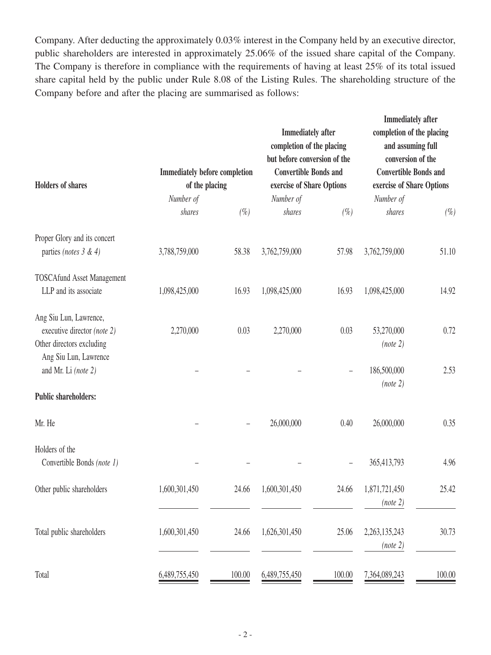Company. After deducting the approximately 0.03% interest in the Company held by an executive director, public shareholders are interested in approximately 25.06% of the issued share capital of the Company. The Company is therefore in compliance with the requirements of having at least 25% of its total issued share capital held by the public under Rule 8.08 of the Listing Rules. The shareholding structure of the Company before and after the placing are summarised as follows:

| <b>Holders of shares</b>                                                           | <b>Immediately before completion</b><br>of the placing |         | <b>Immediately</b> after<br>completion of the placing<br>but before conversion of the<br><b>Convertible Bonds and</b><br>exercise of Share Options<br>Number of |        | <b>Immediately after</b><br>completion of the placing<br>and assuming full<br>conversion of the<br><b>Convertible Bonds and</b><br>exercise of Share Options<br>Number of |        |
|------------------------------------------------------------------------------------|--------------------------------------------------------|---------|-----------------------------------------------------------------------------------------------------------------------------------------------------------------|--------|---------------------------------------------------------------------------------------------------------------------------------------------------------------------------|--------|
|                                                                                    | Number of<br>shares                                    | $(\% )$ | shares                                                                                                                                                          | $(\%)$ | shares                                                                                                                                                                    | $(\%)$ |
| Proper Glory and its concert                                                       |                                                        |         |                                                                                                                                                                 |        |                                                                                                                                                                           |        |
| parties (notes $3 & 4$ )                                                           | 3,788,759,000                                          | 58.38   | 3,762,759,000                                                                                                                                                   | 57.98  | 3,762,759,000                                                                                                                                                             | 51.10  |
| <b>TOSCAfund Asset Management</b>                                                  |                                                        |         |                                                                                                                                                                 |        |                                                                                                                                                                           |        |
| LLP and its associate                                                              | 1,098,425,000                                          | 16.93   | 1,098,425,000                                                                                                                                                   | 16.93  | 1,098,425,000                                                                                                                                                             | 14.92  |
| Ang Siu Lun, Lawrence,<br>executive director (note 2)<br>Other directors excluding | 2,270,000                                              | 0.03    | 2,270,000                                                                                                                                                       | 0.03   | 53,270,000<br>(note 2)                                                                                                                                                    | 0.72   |
| Ang Siu Lun, Lawrence<br>and Mr. Li (note 2)                                       |                                                        |         |                                                                                                                                                                 | -      | 186,500,000<br>(note 2)                                                                                                                                                   | 2.53   |
| <b>Public shareholders:</b>                                                        |                                                        |         |                                                                                                                                                                 |        |                                                                                                                                                                           |        |
| Mr. He                                                                             |                                                        |         | 26,000,000                                                                                                                                                      | 0.40   | 26,000,000                                                                                                                                                                | 0.35   |
| Holders of the<br>Convertible Bonds (note 1)                                       |                                                        |         |                                                                                                                                                                 |        | 365,413,793                                                                                                                                                               | 4.96   |
| Other public shareholders                                                          | 1,600,301,450                                          | 24.66   | 1,600,301,450                                                                                                                                                   | 24.66  | 1,871,721,450<br>(note 2)                                                                                                                                                 | 25.42  |
| Total public shareholders                                                          | 1,600,301,450                                          | 24.66   | 1,626,301,450                                                                                                                                                   | 25.06  | 2,263,135,243<br>(note 2)                                                                                                                                                 | 30.73  |
| Total                                                                              | 6,489,755,450                                          | 100.00  | 6,489,755,450                                                                                                                                                   | 100.00 | 7,364,089,243                                                                                                                                                             | 100.00 |